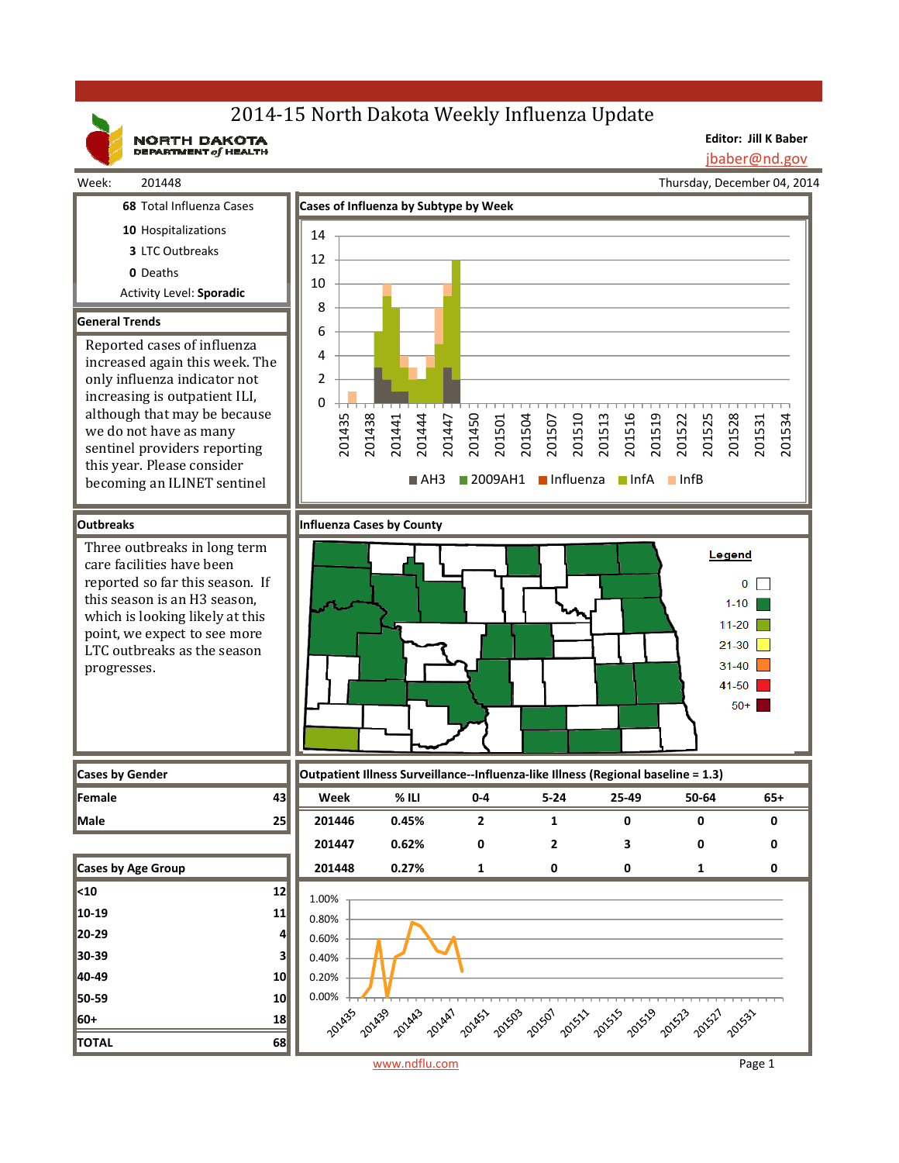# 2014-15 North Dakota Weekly Influenza Update

NORTH DAKOTA

**Editor: Jill K Baber**

jbaber@nd.gov

201534



www.ndflu.com Page 1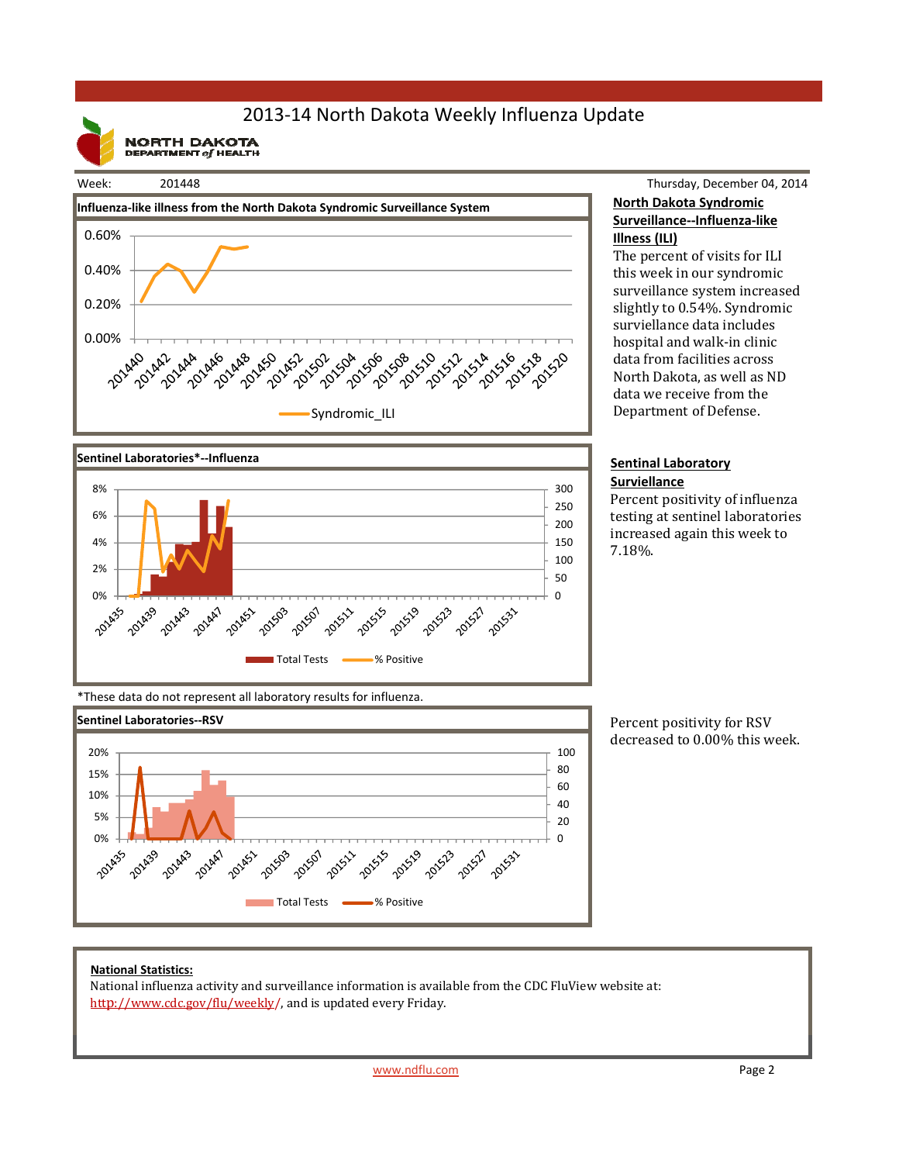# 2013‐14 North Dakota Weekly Influenza Update

**NORTH DAKOTA**<br>DEPARTMENT of HEALTH



### Thursday, December 04, 2014 **North Dakota Syndromic Surveillance‐‐Influenza‐like Illness (ILI)**

The percent of visits for ILI this week in our syndromic surveillance system increased slightly to 0.54%. Syndromic surviellance data includes hospital and walk-in clinic data from facilities across North Dakota, as well as ND data we receive from the Department of Defense.

#### **Sentinal Laboratory Surviellance**

Percent positivity of influenza testing at sentinel laboratories increased again this week to 7.18%. 



\*These data do not represent all laboratory results for influenza.



Percent positivity for RSV decreased to 0.00% this week.

### **National Statistics:**

National influenza activity and surveillance information is available from the CDC FluView website at: http://www.cdc.gov/flu/weekly/, and is updated every Friday.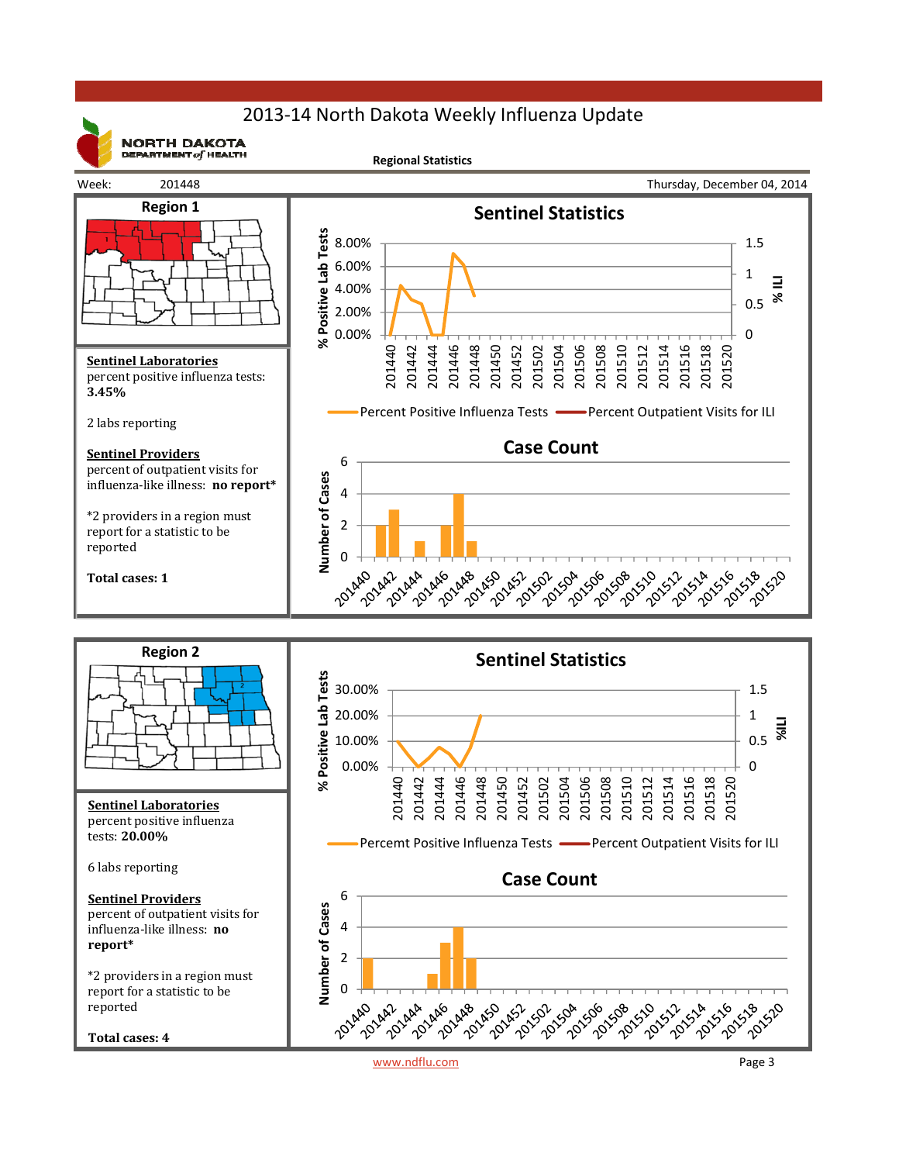# 2013‐14 North Dakota Weekly Influenza Update



**NORTH DAKOTA** DEPARTMENT  $of$  HEALTH

**Regional Statistics**